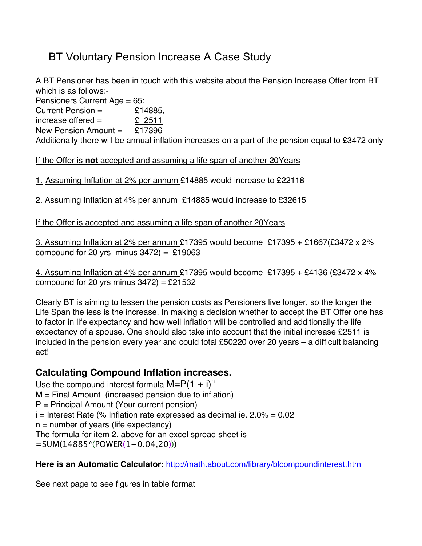## BT Voluntary Pension Increase A Case Study

A BT Pensioner has been in touch with this website about the Pension Increase Offer from BT which is as follows:-

Pensioners Current Age = 65:

Current Pension  $=$  £14885,

increase offered =  $\sqrt{2511}$ New Pension Amount  $=$  £17396

Additionally there will be annual inflation increases on a part of the pension equal to £3472 only

If the Offer is **not** accepted and assuming a life span of another 20Years

1. Assuming Inflation at 2% per annum £14885 would increase to £22118

2. Assuming Inflation at 4% per annum £14885 would increase to £32615

If the Offer is accepted and assuming a life span of another 20Years

3. Assuming Inflation at 2% per annum £17395 would become £17395 + £1667(£3472 x 2% compound for 20 yrs minus  $3472$ ) = £19063

4. Assuming Inflation at 4% per annum £17395 would become £17395 + £4136 (£3472 x 4% compound for 20 yrs minus  $3472$ ) = £21532

Clearly BT is aiming to lessen the pension costs as Pensioners live longer, so the longer the Life Span the less is the increase. In making a decision whether to accept the BT Offer one has to factor in life expectancy and how well inflation will be controlled and additionally the life expectancy of a spouse. One should also take into account that the initial increase £2511 is included in the pension every year and could total £50220 over 20 years – a difficult balancing act!

## **Calculating Compound Inflation increases.**

Use the compound interest formula  $M= P(1 + i)^n$ M = Final Amount (increased pension due to inflation) P = Principal Amount (Your current pension)  $i =$  Interest Rate (% Inflation rate expressed as decimal ie. 2.0% = 0.02  $n =$  number of years (life expectancy) The formula for item 2. above for an excel spread sheet is =SUM(14885\*(POWER(1+0.04,20)))

Here is an Automatic Calculator: http://math.about.com/library/blcompoundinterest.htm

See next page to see figures in table format